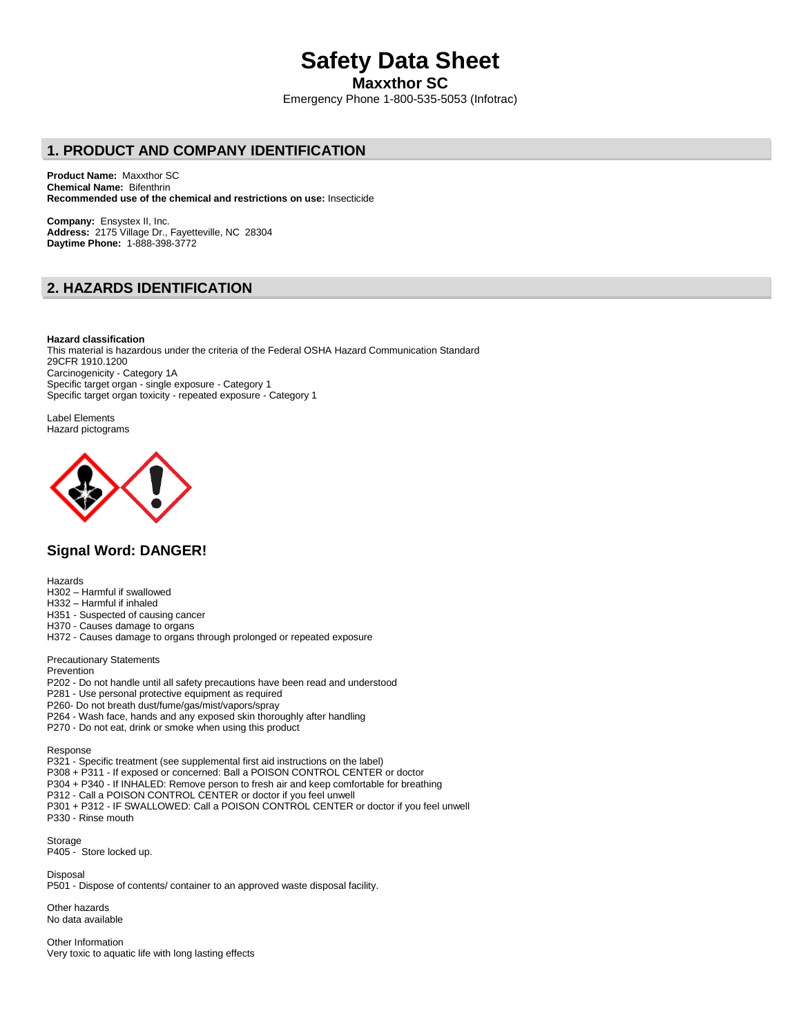# **Safety Data Sheet**

**Maxxthor SC**

Emergency Phone 1-800-535-5053 (Infotrac)

# **1. PRODUCT AND COMPANY IDENTIFICATION**

**Product Name:** Maxxthor SC **Chemical Name:** Bifenthrin **Recommended use of the chemical and restrictions on use:** Insecticide

**Company:** Ensystex II, Inc. **Address:** 2175 Village Dr., Fayetteville, NC 28304 **Daytime Phone:** 1-888-398-3772

# **2. HAZARDS IDENTIFICATION**

**Hazard classification** This material is hazardous under the criteria of the Federal OSHA Hazard Communication Standard 29CFR 1910.1200 Carcinogenicity - Category 1A Specific target organ - single exposure - Category 1

Specific target organ toxicity - repeated exposure - Category 1

Label Elements Hazard pictograms



# **Signal Word: DANGER!**

Hazards

- H302 Harmful if swallowed
- H332 Harmful if inhaled
- H351 Suspected of causing cancer
- H370 Causes damage to organs
- H372 Causes damage to organs through prolonged or repeated exposure

Precautionary Statements

Prevention

- P202 Do not handle until all safety precautions have been read and understood
- P281 Use personal protective equipment as required
- P260- Do not breath dust/fume/gas/mist/vapors/spray
- P264 Wash face, hands and any exposed skin thoroughly after handling
- P270 Do not eat, drink or smoke when using this product

Response

P321 - Specific treatment (see supplemental first aid instructions on the label)

- P308 + P311 If exposed or concerned: Ball a POISON CONTROL CENTER or doctor
- P304 + P340 If INHALED: Remove person to fresh air and keep comfortable for breathing
- P312 Call a POISON CONTROL CENTER or doctor if you feel unwell
- P301 + P312 IF SWALLOWED: Call a POISON CONTROL CENTER or doctor if you feel unwell P330 - Rinse mouth

Storage P405 - Store locked up.

Disposal P501 - Dispose of contents/ container to an approved waste disposal facility.

Other hazards No data available

Other Information Very toxic to aquatic life with long lasting effects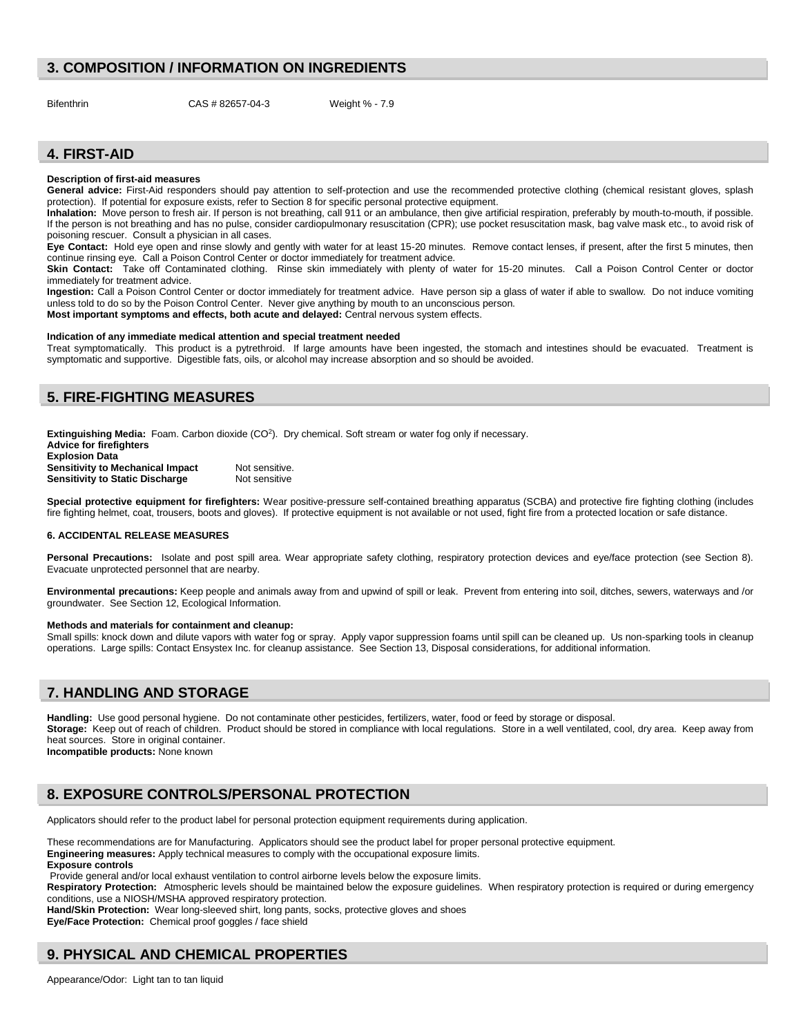## **3. COMPOSITION / INFORMATION ON INGREDIENTS**

Bifenthrin CAS # 82657-04-3 Weight % - 7.9

# **4. FIRST-AID**

#### **Description of first-aid measures**

General advice: First-Aid responders should pay attention to self-protection and use the recommended protective clothing (chemical resistant gloves, splash protection). If potential for exposure exists, refer to Section 8 for specific personal protective equipment.

**Inhalation:** Move person to fresh air. If person is not breathing, call 911 or an ambulance, then give artificial respiration, preferably by mouth-to-mouth, if possible. If the person is not breathing and has no pulse, consider cardiopulmonary resuscitation (CPR); use pocket resuscitation mask, bag valve mask etc., to avoid risk of poisoning rescuer. Consult a physician in all cases.

**Eye Contact:** Hold eye open and rinse slowly and gently with water for at least 15-20 minutes. Remove contact lenses, if present, after the first 5 minutes, then continue rinsing eye. Call a Poison Control Center or doctor immediately for treatment advice.

**Skin Contact:** Take off Contaminated clothing. Rinse skin immediately with plenty of water for 15-20 minutes. Call a Poison Control Center or doctor immediately for treatment advice.

**Ingestion:** Call a Poison Control Center or doctor immediately for treatment advice. Have person sip a glass of water if able to swallow. Do not induce vomiting unless told to do so by the Poison Control Center. Never give anything by mouth to an unconscious person. **Most important symptoms and effects, both acute and delayed:** Central nervous system effects.

#### **Indication of any immediate medical attention and special treatment needed**

Treat symptomatically. This product is a pytrethroid. If large amounts have been ingested, the stomach and intestines should be evacuated. Treatment is symptomatic and supportive. Digestible fats, oils, or alcohol may increase absorption and so should be avoided.

## **5. FIRE-FIGHTING MEASURES**

Extinguishing Media: Foam. Carbon dioxide (CO<sup>2</sup>). Dry chemical. Soft stream or water fog only if necessary. **Advice for firefighters**

| <b>AUVICE IOI III CHUILEIS</b>          |                |
|-----------------------------------------|----------------|
| <b>Explosion Data</b>                   |                |
| <b>Sensitivity to Mechanical Impact</b> | Not sensitive. |
| <b>Sensitivity to Static Discharge</b>  | Not sensitive  |

**Special protective equipment for firefighters:** Wear positive-pressure self-contained breathing apparatus (SCBA) and protective fire fighting clothing (includes fire fighting helmet, coat, trousers, boots and gloves). If protective equipment is not available or not used, fight fire from a protected location or safe distance.

#### **6. ACCIDENTAL RELEASE MEASURES**

Personal Precautions: Isolate and post spill area. Wear appropriate safety clothing, respiratory protection devices and eye/face protection (see Section 8). Evacuate unprotected personnel that are nearby.

**Environmental precautions:** Keep people and animals away from and upwind of spill or leak. Prevent from entering into soil, ditches, sewers, waterways and /or groundwater. See Section 12, Ecological Information.

#### **Methods and materials for containment and cleanup:**

Small spills: knock down and dilute vapors with water fog or spray. Apply vapor suppression foams until spill can be cleaned up. Us non-sparking tools in cleanup operations. Large spills: Contact Ensystex Inc. for cleanup assistance. See Section 13, Disposal considerations, for additional information.

## **7. HANDLING AND STORAGE**

**Handling:** Use good personal hygiene. Do not contaminate other pesticides, fertilizers, water, food or feed by storage or disposal. **Storage:** Keep out of reach of children. Product should be stored in compliance with local regulations. Store in a well ventilated, cool, dry area. Keep away from heat sources. Store in original container. **Incompatible products:** None known

# **8. EXPOSURE CONTROLS/PERSONAL PROTECTION**

Applicators should refer to the product label for personal protection equipment requirements during application.

These recommendations are for Manufacturing. Applicators should see the product label for proper personal protective equipment. **Engineering measures:** Apply technical measures to comply with the occupational exposure limits. **Exposure controls**

Provide general and/or local exhaust ventilation to control airborne levels below the exposure limits.

**Respiratory Protection:** Atmospheric levels should be maintained below the exposure guidelines. When respiratory protection is required or during emergency conditions, use a NIOSH/MSHA approved respiratory protection.

**Hand/Skin Protection:** Wear long-sleeved shirt, long pants, socks, protective gloves and shoes

**Eye/Face Protection:** Chemical proof goggles / face shield

# **9. PHYSICAL AND CHEMICAL PROPERTIES**

Appearance/Odor: Light tan to tan liquid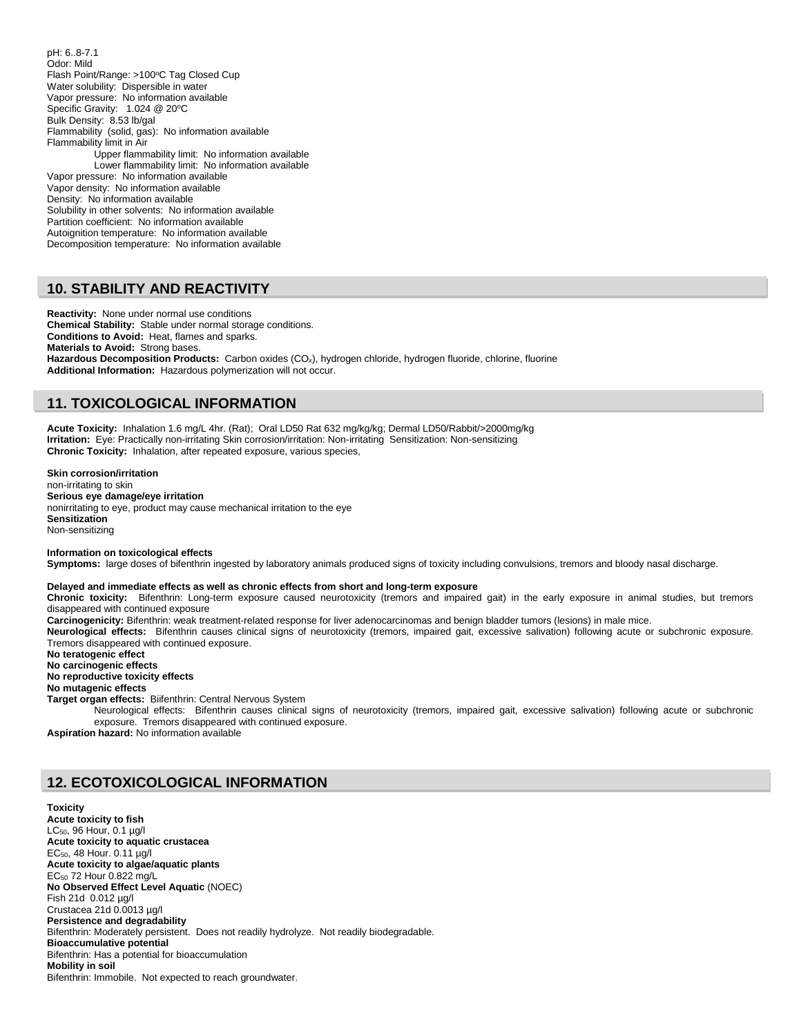pH: 6..8-7.1 Odor: Mild Flash Point/Range: >100°C Tag Closed Cup Water solubility: Dispersible in water Vapor pressure: No information available Specific Gravity: 1.024 @ 20°C Bulk Density: 8.53 lb/gal Flammability (solid, gas): No information available Flammability limit in Air Upper flammability limit: No information available Lower flammability limit: No information available Vapor pressure: No information available Vapor density: No information available Density: No information available Solubility in other solvents: No information available Partition coefficient: No information available Autoignition temperature: No information available Decomposition temperature: No information available

# **10. STABILITY AND REACTIVITY**

**Reactivity:** None under normal use conditions **Chemical Stability:** Stable under normal storage conditions. **Conditions to Avoid:** Heat, flames and sparks. **Materials to Avoid:** Strong bases. Hazardous Decomposition Products: Carbon oxides (CO<sub>x</sub>), hydrogen chloride, hydrogen fluoride, chlorine, fluorine **Additional Information:** Hazardous polymerization will not occur.

#### **11. TOXICOLOGICAL INFORMATION**

**Acute Toxicity:** Inhalation 1.6 mg/L 4hr. (Rat); Oral LD50 Rat 632 mg/kg/kg; Dermal LD50/Rabbit/>2000mg/kg **Irritation:** Eye: Practically non-irritating Skin corrosion/irritation: Non-irritating Sensitization: Non-sensitizing **Chronic Toxicity:** Inhalation, after repeated exposure, various species,

**Skin corrosion/irritation** non-irritating to skin **Serious eye damage/eye irritation** nonirritating to eye, product may cause mechanical irritation to the eye **Sensitization** Non-sensitizing

**Information on toxicological effects Symptoms:** large doses of bifenthrin ingested by laboratory animals produced signs of toxicity including convulsions, tremors and bloody nasal discharge.

**Delayed and immediate effects as well as chronic effects from short and long-term exposure**

**Chronic toxicity:** Bifenthrin: Long-term exposure caused neurotoxicity (tremors and impaired gait) in the early exposure in animal studies, but tremors disappeared with continued exposure

**Carcinogenicity:** Bifenthrin: weak treatment-related response for liver adenocarcinomas and benign bladder tumors (lesions) in male mice.

**Neurological effects:** Bifenthrin causes clinical signs of neurotoxicity (tremors, impaired gait, excessive salivation) following acute or subchronic exposure. Tremors disappeared with continued exposure.

**No teratogenic effect No carcinogenic effects**

**No reproductive toxicity effects**

**No mutagenic effects**

**Target organ effects:** Biifenthrin: Central Nervous System

Neurological effects: Bifenthrin causes clinical signs of neurotoxicity (tremors, impaired gait, excessive salivation) following acute or subchronic exposure. Tremors disappeared with continued exposure.

**Aspiration hazard:** No information available

# **12. ECOTOXICOLOGICAL INFORMATION**

**Toxicity Acute toxicity to fish** LC $_{50}$ , 96 Hour, 0.1  $\mu$ g/l **Acute toxicity to aquatic crustacea** EC50, 48 Hour. 0.11 µg/l **Acute toxicity to algae/aquatic plants** EC<sup>50</sup> 72 Hour 0.822 mg/L **No Observed Effect Level Aquatic** (NOEC) Fish 21d 0.012 µg/l Crustacea 21d 0.0013 µg/l **Persistence and degradability** Bifenthrin: Moderately persistent. Does not readily hydrolyze. Not readily biodegradable. **Bioaccumulative potential** Bifenthrin: Has a potential for bioaccumulation **Mobility in soil** Bifenthrin: Immobile. Not expected to reach groundwater.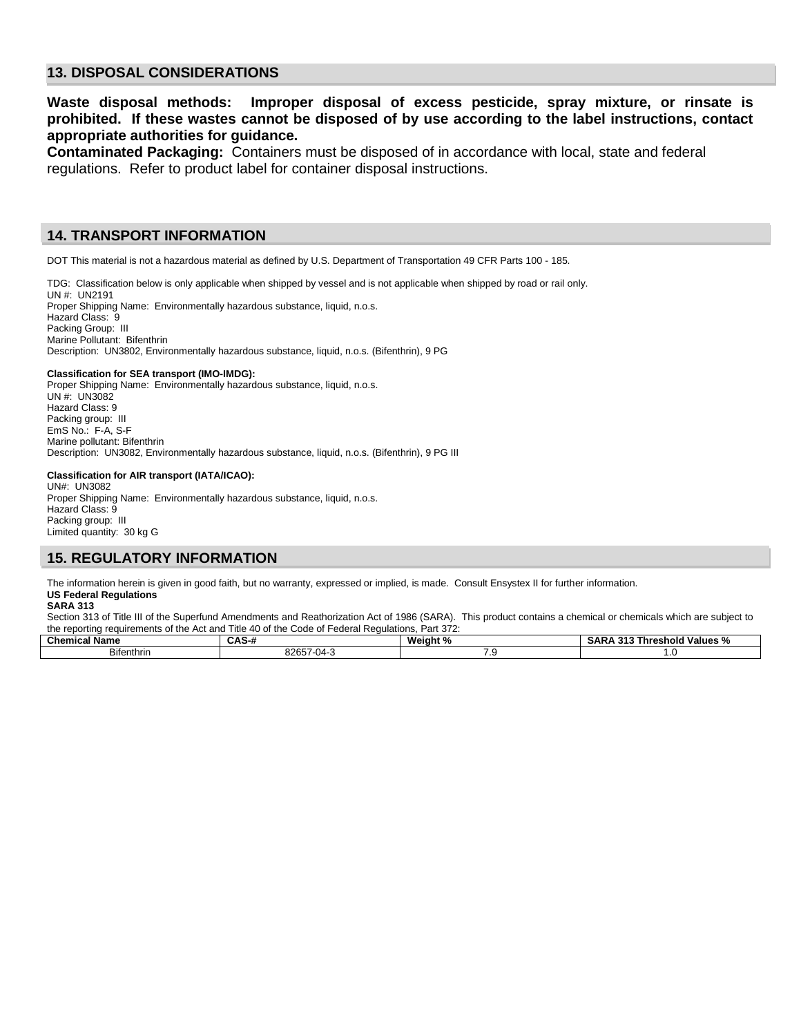# **13. DISPOSAL CONSIDERATIONS**

# **Waste disposal methods: Improper disposal of excess pesticide, spray mixture, or rinsate is prohibited. If these wastes cannot be disposed of by use according to the label instructions, contact appropriate authorities for guidance.**

**Contaminated Packaging:** Containers must be disposed of in accordance with local, state and federal regulations. Refer to product label for container disposal instructions.

#### **14. TRANSPORT INFORMATION**

DOT This material is not a hazardous material as defined by U.S. Department of Transportation 49 CFR Parts 100 - 185.

TDG: Classification below is only applicable when shipped by vessel and is not applicable when shipped by road or rail only.

UN #: UN2191 Proper Shipping Name: Environmentally hazardous substance, liquid, n.o.s. Hazard Class: 9 Packing Group: III Marine Pollutant: Bifenthrin Description: UN3802, Environmentally hazardous substance, liquid, n.o.s. (Bifenthrin), 9 PG

#### **Classification for SEA transport (IMO-IMDG):**

Proper Shipping Name: Environmentally hazardous substance, liquid, n.o.s. UN #: UN3082 Hazard Class: 9 Packing group: III EmS No.: F-A, S-F Marine pollutant: Bifenthrin Description: UN3082, Environmentally hazardous substance, liquid, n.o.s. (Bifenthrin), 9 PG III

#### **Classification for AIR transport (IATA/ICAO):**

UN#: UN3082 Proper Shipping Name: Environmentally hazardous substance, liquid, n.o.s. Hazard Class: 9 Packing group: III Limited quantity: 30 kg G

## **15. REGULATORY INFORMATION**

The information herein is given in good faith, but no warranty, expressed or implied, is made. Consult Ensystex II for further information. **US Federal Regulations**

#### **SARA 313**

Section 313 of Title III of the Superfund Amendments and Reathorization Act of 1986 (SARA). This product contains a chemical or chemicals which are subject to the reporting requirements of the Act and Title 40 of the Code of Federal Regulations, Part 372:

| Chemical<br>∣Name | <b>UAU</b>               | Weiaht<br>- 70 | . .<br>- 4<br><b>Values</b><br>Threshold<br>$\mathbf{r}$<br>- 11<br>AN.<br><br>- 70 |
|-------------------|--------------------------|----------------|-------------------------------------------------------------------------------------|
| <b>Bifenthrin</b> | 000F7<br>-04)-/<br>'265. | .              |                                                                                     |